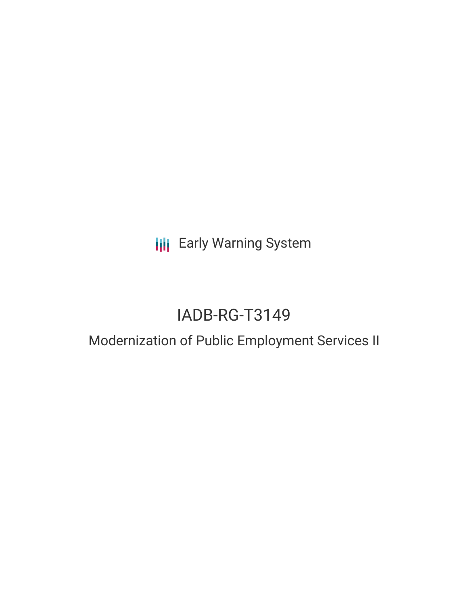# **III** Early Warning System

# IADB-RG-T3149

## Modernization of Public Employment Services II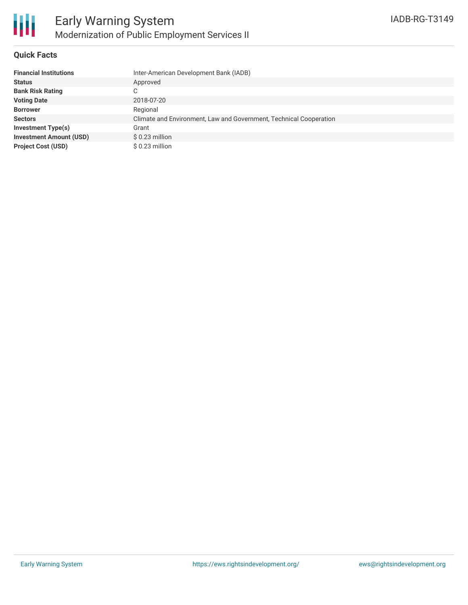

#### **Quick Facts**

| <b>Financial Institutions</b>  | Inter-American Development Bank (IADB)                             |
|--------------------------------|--------------------------------------------------------------------|
| <b>Status</b>                  | Approved                                                           |
| <b>Bank Risk Rating</b>        | C                                                                  |
| <b>Voting Date</b>             | 2018-07-20                                                         |
| <b>Borrower</b>                | Regional                                                           |
| <b>Sectors</b>                 | Climate and Environment, Law and Government, Technical Cooperation |
| <b>Investment Type(s)</b>      | Grant                                                              |
| <b>Investment Amount (USD)</b> | $$0.23$ million                                                    |
| <b>Project Cost (USD)</b>      | $$0.23$ million                                                    |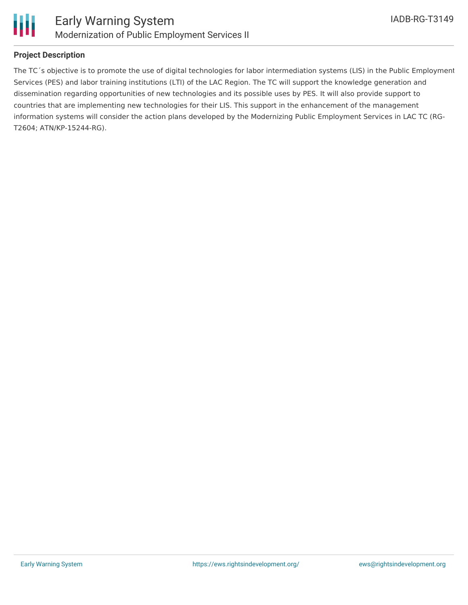

### **Project Description**

The TC´s objective is to promote the use of digital technologies for labor intermediation systems (LIS) in the Public Employment Services (PES) and labor training institutions (LTI) of the LAC Region. The TC will support the knowledge generation and dissemination regarding opportunities of new technologies and its possible uses by PES. It will also provide support to countries that are implementing new technologies for their LIS. This support in the enhancement of the management information systems will consider the action plans developed by the Modernizing Public Employment Services in LAC TC (RG-T2604; ATN/KP-15244-RG).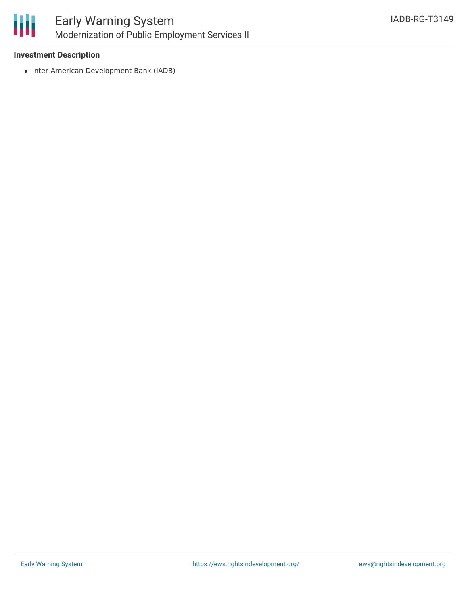

### **Investment Description**

• Inter-American Development Bank (IADB)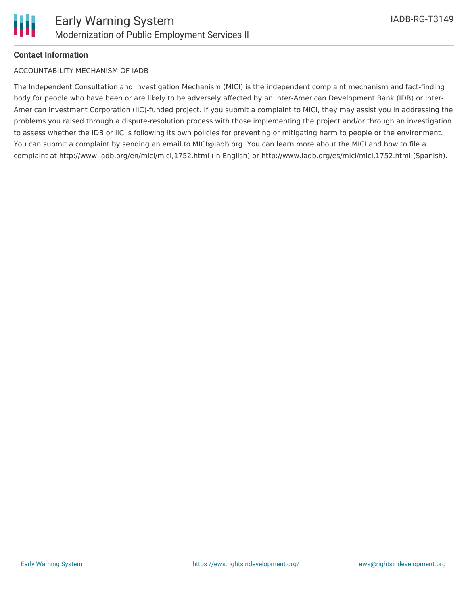

#### **Contact Information**

#### ACCOUNTABILITY MECHANISM OF IADB

The Independent Consultation and Investigation Mechanism (MICI) is the independent complaint mechanism and fact-finding body for people who have been or are likely to be adversely affected by an Inter-American Development Bank (IDB) or Inter-American Investment Corporation (IIC)-funded project. If you submit a complaint to MICI, they may assist you in addressing the problems you raised through a dispute-resolution process with those implementing the project and/or through an investigation to assess whether the IDB or IIC is following its own policies for preventing or mitigating harm to people or the environment. You can submit a complaint by sending an email to MICI@iadb.org. You can learn more about the MICI and how to file a complaint at http://www.iadb.org/en/mici/mici,1752.html (in English) or http://www.iadb.org/es/mici/mici,1752.html (Spanish).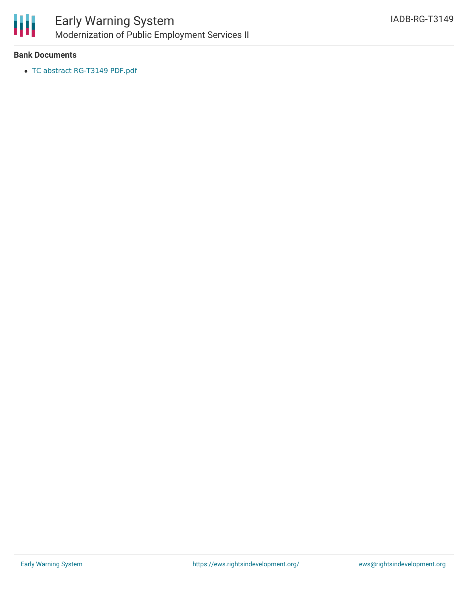

### **Bank Documents**

TC abstract [RG-T3149](https://www.iadb.org/Document.cfm?id=EZSHARE-147036970-3) PDF.pdf